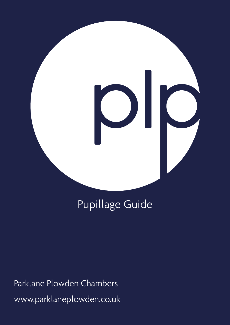# 

# Pupillage Guide

Parklane Plowden Chambers www.parklaneplowden.co.uk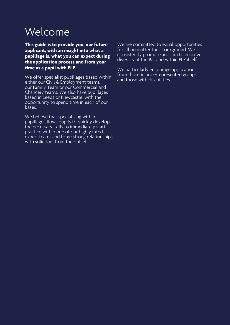# Welcome

**This guide is to provide you, our future applicant, with an insight into what a pupillage is, what you can expect during the application process and from your time as a pupil with PLP.** 

We offer specialist pupillages based within either our Civil & Employment teams, our Family Team or our Commercial and Chancery teams. We also have pupillages based in Leeds or Newcastle, with the opportunity to spend time in each of our bases.

We believe that specialising within pupillage allows pupils to quickly develop the necessary skills to immediately start practice within one of our highly rated, expert teams and forge strong relationships with solicitors from the outset.

We are committed to equal opportunities for all no matter their background. We consistently promote and aim to improve diversity at the Bar and within PLP itself.

We particularly encourage applications from those in underrepresented groups and those with disabilities.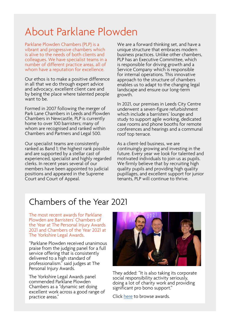## About Parklane Plowden

Parklane Plowden Chambers (PLP) is a vibrant and progressive chambers which is alive to the needs of both clients and colleagues. We have specialist teams in a number of different practice areas, all of whom have a reputation for excellence.

Our ethos is to make a positive difference in all that we do through expert advice and advocacy, excellent client care and by being the place where talented people want to be.

Formed in 2007 following the merger of Park Lane Chambers in Leeds and Plowden Chambers in Newcastle, PLP is currently home to over 100 barristers; many of whom are recognised and ranked within Chambers and Partners and Legal 500.

Our specialist teams are consistently ranked as Band 1; the highest rank possible and are supported by a stellar cast of experienced, specialist and highly regarded clerks. In recent years several of our members have been appointed to judicial positions and appeared in the Supreme Court and Court of Appeal.

We are a forward thinking set, and have a unique structure that embraces modern business practices. Unlike other chambers, PLP has an Executive Committee, which is responsible for driving growth and a Service Company which is responsible for internal operations. This innovative approach to the structure of chambers enables us to adapt to the changing legal landscape and ensure our long-term growth.

In 2021, our premises in Leeds City Centre underwent a seven-figure refurbishment which include a barristers' lounge and study to support agile working, dedicated case rooms and phone booths for remote conferences and hearings and a communal roof top terrace.

As a client-led business, we are continuingly growing and investing in the future. Every year we look for talented and motivated individuals to join us as pupils. We firmly believe that by recruiting high quality pupils and providing high quality pupillages, and excellent support for junior tenants, PLP will continue to thrive.

## Chambers of the Year 2021

The most recent awards for Parklane Plowden are Barristers' Chambers of the Year at The Personal Injury Awards 2021 and Chambers of the Year 2021 at The Yorkshire Legal Awards.

"Parklane Plowden received unanimous praise from the judging panel for a full service offering that is consistently delivered to a high standard of professionalism." said judges at The Personal Injury Awards.

The Yorkshire Legal Awards panel commended Parklane Plowden Chambers as a "dynamic set doing excellent work across a good range of practice areas."



They added: "It is also taking its corporate social responsibility activity seriously, doing a lot of charity work and providing significant pro bono support."

Click [here](http://www.parklaneplowden.co.uk/awards/) to browse awards.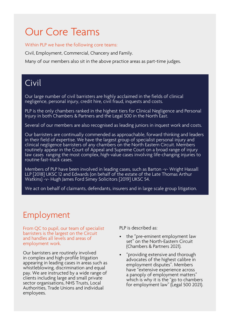## Our Core Teams

Within PLP we have the following core teams:

Civil, Employment, Commercial, Chancery and Family.

Many of our members also sit in the above practice areas as part-time judges.

## Civil

Our large number of civil barristers are highly acclaimed in the fields of clinical negligence, personal injury, credit hire, civil fraud, inquests and costs.

PLP is the only chambers ranked in the highest tiers for Clinical Negligence and Personal Injury in both Chambers & Partners and the Legal 500 in the North East.

Several of our members are also recognised as leading juniors in inquest work and costs.

Our barristers are continually commended as approachable, forward thinking and leaders in their field of expertise. We have the largest group of specialist personal injury and clinical negligence barristers of any chambers on the North Eastern Circuit. Members routinely appear in the Court of Appeal and Supreme Court on a broad range of injury law cases ranging the most complex, high-value cases involving life-changing injuries to routine fast-track cases.

Members of PLP have been involved in leading cases, such as Barton -v- Wright Hassall LLP [2018] UKSC 12 and Edwards (on behalf of the estate of the Late Thomas Arthur Watkins) -v- Hugh James Ford Simey Solicitors [2019] UKSC 54.

We act on behalf of claimants, defendants, insurers and in large scale group litigation.

## Employment

From QC to pupil, our team of specialist barristers is the largest on the Circuit and handles all levels and areas of employment work.

Our barristers are routinely involved in complex and high-profile litigation appearing in leading cases in areas such as whistleblowing, discrimination and equal pay. We are instructed by a wide range of clients including large and small private sector organisations, NHS Trusts, Local Authorities, Trade Unions and individual employees.

PLP is described as:

- the "pre-eminent employment law set" on the North-Eastern Circuit (Chambers & Partners 2021).
- "providing extensive and thorough advocates of the highest calibre in employment disputes". Members have "extensive experience across a panoply of employment matters" which is why it is the "go to chambers for employment law" (Legal 500 2021).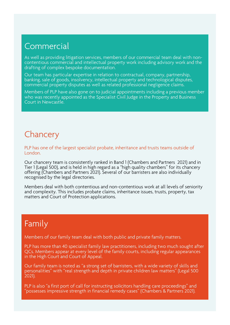## **Commercial**

As well as providing litigation services, members of our commercial team deal with noncontentious commercial and intellectual property work including advisory work and the drafting of complex bespoke documentation.

Our team has particular expertise in relation to contractual, company, partnership, banking, sale of goods, insolvency, intellectual property and technological disputes, commercial property disputes as well as related professional negligence claims.

Members of PLP have also gone on to judicial appointments including a previous member who was recently appointed as the Specialist Civil Judge in the Property and Business Court in Newcastle.

## **Chancery**

PLP has one of the largest specialist probate, inheritance and trusts teams outside of London.

Our chancery team is consistently ranked in Band 1 (Chambers and Partners 2021) and in Tier 1 (Legal 500), and is held in high regard as a "high quality chambers" for its chancery offering (Chambers and Partners 2021). Several of our barristers are also individually recognised by the legal directories.

Members deal with both contentious and non-contentious work at all levels of seniority and complexity. This includes probate claims, inheritance issues, trusts, property, tax matters and Court of Protection applications.

## Family

Members of our family team deal with both public and private family matters.

PLP has more than 40 specialist family law practitioners, including two much sought after QCs. Members appear at every level of the family courts, including regular appearances in the High Court and Court of Appeal.

Our family team is noted as "a strong set of barristers, with a wide variety of skills and personalities" with "real strength and depth in private children law matters" (Legal 500 2021).

PLP is also "a first port of call for instructing solicitors handling care proceedings" and "possesses impressive strength in financial remedy cases" (Chambers & Partners 2021).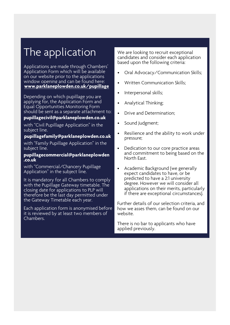# The application

Applications are made through Chambers' Application Form which will be available on our website prior to the applications window opening and can be found here: **[www.parklaneplowden.co.uk/pupillage](http://www.parklaneplowden.co.uk/pupillage)**

Depending on which pupillage you are applying for, the Application Form and Equal Opportunities Monitoring Form should be sent as a separate attachment to:

#### **[pupillagecivil@parklaneplowden.co.uk](mailto:pupillagecivil@parklaneplowden.co.uk)**

with "Civil Pupillage Application" in the subject line.

#### **[pupillagefamily@parklaneplowden.co.uk](mailto:pupillagefamily@parklaneplowden.co.uk)**

with "Family Pupillage Application" in the subject line.

#### **[pupillagecommercial@parklaneplowden](mailto:pupillagecommercial@parklaneplowden.co.uk)  .co.uk**

with "Commercial/Chancery Pupillage Application" in the subject line.

It is mandatory for all Chambers to comply with the Pupillage Gateway timetable. The closing date for applications to PLP will therefore be the last day permitted under the Gateway Timetable each year.

Each application form is anonymised before it is reviewed by at least two members of Chambers.

We are looking to recruit exceptional candidates and consider each application based upon the following criteria:

- Oral Advocacy/Communication Skills;
- Written Communication Skills;
- Interpersonal skills;
- Analytical Thinking;
- Drive and Determination;
- Sound Judgment;
- Resilience and the ability to work under pressure;
- Dedication to our core practice areas and commitment to being based on the North East.
- Academic Background (we generally expect candidates to have, or be predicted to have a 2:1 university degree. However we will consider all applications on their merits, particularly if there are exceptional circumstances).

Further details of our selection criteria, and how we asses them, can be found on our website.

There is no bar to applicants who have applied previously.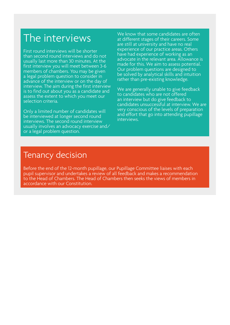## The interviews

First round interviews will be shorter than second round interviews and do not usually last more than 30 minutes. At the first interview you will meet between 3-6 members of chambers. You may be given a legal problem question to consider in advance of the interview or on the day of interview. The aim during the first interview is to find out about you as a candidate and assess the extent to which you meet our selection criteria.

Only a limited number of candidates will be interviewed at longer second round interviews. The second round interview usually involves an advocacy exercise and/ or a legal problem question.

We know that some candidates are often at different stages of their careers. Some are still at university and have no real experience of our practice areas. Others have had experience of working as an advocate in the relevant area. Allowance is made for this. We aim to assess potential. Our problem questions are designed to be solved by analytical skills and intuition rather than pre-existing knowledge.

We are generally unable to give feedback to candidates who are not offered an interview but do give feedback to candidates unsuccessful at interview. We are very conscious of the levels of preparation and effort that go into attending pupillage interviews.

### Tenancy decision

Before the end of the 12-month pupillage, our Pupillage Committee liaises with each pupil supervisor and undertakes a review of all feedback and makes a recommendation to the Head of Chambers. The Head of Chambers then seeks the views of members in accordance with our Constitution.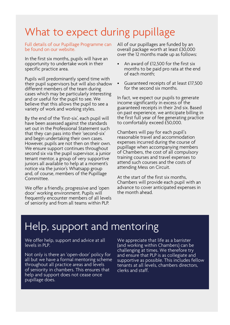## What to expect during pupillage

Full details of our Pupillage Programme can be found on our website.

In the first six months, pupils will have an opportunity to undertake work in their specific practice area.

Pupils will predominantly spend time with their pupil supervisors but will also shadow different members of the team during cases which may be particularly interesting and or useful for the pupil to see. We believe that this allows the pupil to see a variety of work and working styles.

By the end of the 'first-six', each pupil will have been assessed against the standards set out in the Professional Statement such that they can pass into their 'second-six' and begin undertaking their own cases. However, pupils are not then on their own. We ensure support continues throughout second six via the pupil supervisor, a junior tenant mentor, a group of very supportive juniors all available to help at a moment's notice via the junior's Whatsapp group and, of course, members of the Pupillage Committee.

We offer a friendly, progressive and 'open door' working environment. Pupils will frequently encounter members of all levels of seniority and from all teams within PLP.

All of our pupillages are funded by an overall package worth at least £30,000 over the 12 months made up as follows:

- An award of £12,500 for the first six months to be paid pro rata at the end of each month;
- Guaranteed receipts of at least £17,500 for the second six months.

In fact, we expect our pupils to generate income significantly in excess of the guaranteed receipts in their 2nd six. Based on past experience, we anticipate billing in the first full year of fee generating practice to comfortably exceed £50,000.

Chambers will pay for each pupil's reasonable travel and accommodation expenses incurred during the course of pupillage when accompanying members of Chambers, the cost of all compulsory training courses and travel expenses to attend such courses and the costs of attending Mess on Circuit.

At the start of the first six months, Chambers will provide each pupil with an advance to cover anticipated expenses in the month ahead.

# Help, support and mentoring

We offer help, support and advice at all levels in PLP.

Not only is there an 'open-door' policy for all but we have a formal mentoring scheme throughout all practice areas and levels of seniority in chambers. This ensures that help and support does not cease once pupillage does.

We appreciate that life as a barrister (and working within Chambers) can be challenging at times. We therefore try and ensure that PLP is as collegiate and supportive as possible. This includes fellow tenants at all levels, chambers directors, clerks and staff.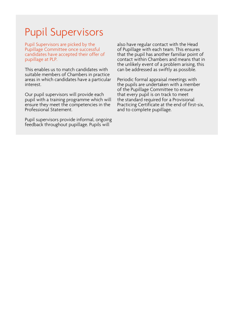## Pupil Supervisors

Pupil Supervisors are picked by the Pupillage Committee once successful candidates have accepted their offer of pupillage at PLP.

This enables us to match candidates with suitable members of Chambers in practice areas in which candidates have a particular interest.

Our pupil supervisors will provide each pupil with a training programme which will ensure they meet the competencies in the Professional Statement.

Pupil supervisors provide informal, ongoing feedback throughout pupillage. Pupils will

also have regular contact with the Head of Pupillage with each team. This ensures that the pupil has another familiar point of contact within Chambers and means that in the unlikely event of a problem arising, this can be addressed as swiftly as possible.

Periodic formal appraisal meetings with the pupils are undertaken with a member of the Pupillage Committee to ensure that every pupil is on track to meet the standard required for a Provisional Practicing Certificate at the end of first-six, and to complete pupillage.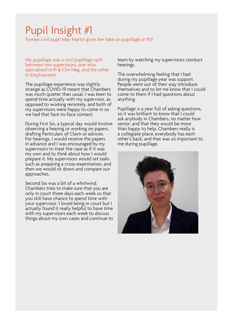# Pupil Insight #1

Former civil pupil May Martin gives her take on pupillage at PLP

My pupillage was a civil pupillage split between two supervisors, one who specialised in PI & Clin Neg, and the other in Employment.

The pupillage experience was slightly strange as COVID-19 meant that Chambers was much quieter than usual. I was keen to spend time actually with my supervisor, as opposed to working remotely, and both of my supervisors were happy to come in so we had that face-to-face contact.

During First Six, a typical day would involve observing a hearing or working on papers, drafting Particulars of Claim or advices. For hearings, I would receive the papers in advance and I was encouraged by my supervisors to treat the case as if it was my own and to think about how I would prepare it. My supervisors would set tasks such as preparing a cross-examination, and then we would sit down and compare our approaches.

Second Six was a bit of a whirlwind. Chambers tries to make sure that you are only in court three days each week so that you still have chance to spend time with your supervisor. I loved being in court but I actually found it really helpful to have time with my supervisors each week to discuss things about my own cases and continue to learn by watching my supervisors conduct hearings.

The overwhelming feeling that I had during my pupillage year was support. People went out of their way introduce themselves and to let me know that I could come to them if I had questions about anything.

Pupillage is a year full of asking questions, so it was brilliant to know that I could ask anybody in Chambers, no matter how senior, and that they would be more than happy to help. Chambers really is a collegiate place, everybody has each other's back, and that was so important to me during pupillage.

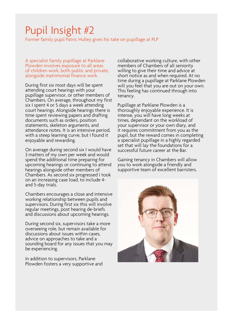# Pupil Insight #2

Former family pupil Patric Hulley gives his take on pupillage at PLP

A specialist family pupillage at Parklane Plowden involves exposure to all areas of children work, both public and private, alongside matrimonial finance work.

During first six most days will be spent attending court hearings with your pupillage supervisor, or other members of Chambers. On average, throughout my first six I spent 4 or 5 days a week attending court hearings. Alongside hearings there is time spent reviewing papers and drafting documents such as orders, position statements, skeleton arguments, and attendance notes. It is an intensive period, with a steep learning curve, but I found it enjoyable and rewarding.

On average during second six I would have 3 matters of my own per week and would spend the additional time preparing for upcoming hearings or continuing to attend hearings alongside other members of Chambers. As second six progressed I took on an increasing case load, to include 4 and 5-day trials.

Chambers encourages a close and intensive working relationship between pupils and supervisors. During first six this will involve regular meetings, post hearing de-briefs and discussions about upcoming hearings.

During second six, supervisors take a more overseeing role, but remain available for discussions about issues within cases, advice on approaches to take and a sounding board for any issues that you may be experiencing.

In addition to supervisors, Parklane Plowden fosters a very supportive and collaborative working culture, with other members of Chambers of all seniority willing to give their time and advice at short notice as and when required. At no time during a pupillage at Parklane Plowden will you feel that you are out on your own. This feeling has continued through into tenancy.

Pupillage at Parklane Plowden is a thoroughly enjoyable experience. It is intense, you will have long weeks at times, dependant on the workload of your supervisor or your own diary, and it requires commitment from you as the pupil, but the reward comes in completing a specialist pupillage in a highly regarded set that will lay the foundations for a successful future career at the Bar.

Gaining tenancy in Chambers will allow you to work alongside a friendly and supportive team of excellent barristers.

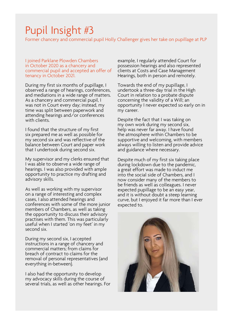## Pupil Insight #3

Former chancery and commercial pupil Holly Challenger gives her take on pupillage at PLP

I joined Parklane Plowden Chambers in October 2020 as a chancery and commercial pupil and accepted an offer of tenancy in October 2021.

During my first six months of pupillage, I observed a range of hearings, conferences, and mediations in a wide range of matters. As a chancery and commercial pupil, I was not in Court every day; instead, my time was split between paperwork and attending hearings and/or conferences with clients.

I found that the structure of my first six prepared me as well as possible for my second six and was reflective of the balance between Court and paper work that I undertook during second six.

My supervisor and my clerks ensured that I was able to observe a wide range of hearings. I was also provided with ample opportunity to practice my drafting and advisory skills.

As well as working with my supervisor on a range of interesting and complex cases, I also attended hearings and conferences with some of the more junior members of Chambers, as well as taking the opportunity to discuss their advisory practises with them. This was particularly useful when I started 'on my feet' in my second six.

During my second six, I accepted instructions in a range of chancery and commercial matters; from claims for breach of contract to claims for the removal of personal representatives (and everything in-between).

I also had the opportunity to develop my advocacy skills during the course of several trials, as well as other hearings. For example, I regularly attended Court for possession hearings and also represented clients at Costs and Case Management Hearings, both in person and remotely.

Towards the end of my pupillage, I undertook a three-day trial in the High Court in relation to a probate dispute concerning the validity of a Will; an opportunity I never expected so early on in my career.

Despite the fact that I was taking on my own work during my second six, help was never far away. I have found the atmosphere within Chambers to be supportive and welcoming, with members always willing to listen and provide advice and guidance where necessary.

Despite much of my first six taking place during lockdown due to the pandemic, a great effort was made to induct me into the social side of Chambers, and I now consider many of the members to be friends as well as colleagues. I never expected pupillage to be an easy year, and it is without doubt a steep learning curve, but I enjoyed it far more than I ever expected to.